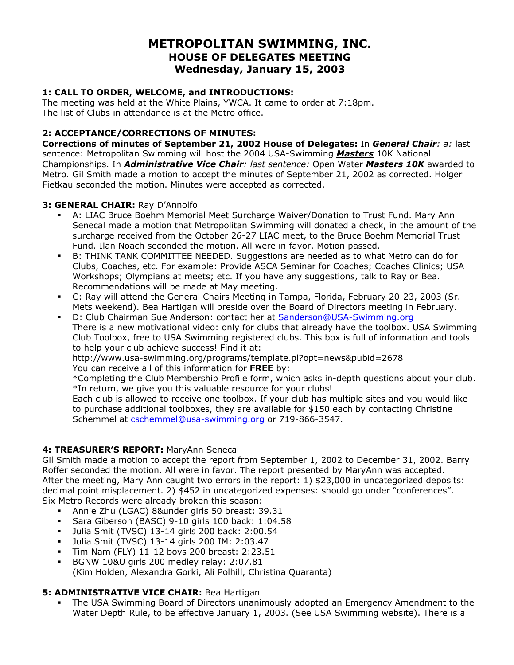## **METROPOLITAN SWIMMING, INC. HOUSE OF DELEGATES MEETING Wednesday, January 15, 2003**

## **1: CALL TO ORDER, WELCOME, and INTRODUCTIONS:**

The meeting was held at the White Plains, YWCA. It came to order at 7:18pm. The list of Clubs in attendance is at the Metro office.

## **2: ACCEPTANCE/CORRECTIONS OF MINUTES:**

**Corrections of minutes of September 21, 2002 House of Delegates:** In *General Chair: a:* last sentence: Metropolitan Swimming will host the 2004 USA-Swimming *Masters* 10K National Championships. In *Administrative Vice Chair: last sentence:* Open Water *Masters 10K* awarded to Metro*.* Gil Smith made a motion to accept the minutes of September 21, 2002 as corrected. Holger Fietkau seconded the motion. Minutes were accepted as corrected.

#### **3: GENERAL CHAIR:** Ray D'Annolfo

- A: LIAC Bruce Boehm Memorial Meet Surcharge Waiver/Donation to Trust Fund. Mary Ann Senecal made a motion that Metropolitan Swimming will donated a check, in the amount of the surcharge received from the October 26-27 LIAC meet, to the Bruce Boehm Memorial Trust Fund. Ilan Noach seconded the motion. All were in favor. Motion passed.
- B: THINK TANK COMMITTEE NEEDED. Suggestions are needed as to what Metro can do for Clubs, Coaches, etc. For example: Provide ASCA Seminar for Coaches; Coaches Clinics; USA Workshops; Olympians at meets; etc. If you have any suggestions, talk to Ray or Bea. Recommendations will be made at May meeting.
- C: Ray will attend the General Chairs Meeting in Tampa, Florida, February 20-23, 2003 (Sr. Mets weekend). Bea Hartigan will preside over the Board of Directors meeting in February.
- D: Club Chairman Sue Anderson: contact her at [Sanderson@USA-Swimming.org](mailto:Sanderson@USA-Swimming.org)  There is a new motivational video: only for clubs that already have the toolbox. USA Swimming Club Toolbox, free to USA Swimming registered clubs. This box is full of information and tools to help your club achieve success! Find it at:

http://www.usa-swimming.org/programs/template.pl?opt=news&pubid=2678 You can receive all of this information for **FREE** by:

\*Completing the Club Membership Profile form, which asks in-depth questions about your club. \*In return, we give you this valuable resource for your clubs!

Each club is allowed to receive one toolbox. If your club has multiple sites and you would like to purchase additional toolboxes, they are available for \$150 each by contacting Christine Schemmel at [cschemmel@usa-swimming.org](mailto:cschemmel@usa-swimming.org) or 719-866-3547.

#### **4: TREASURER'S REPORT:** MaryAnn Senecal

Gil Smith made a motion to accept the report from September 1, 2002 to December 31, 2002. Barry Roffer seconded the motion. All were in favor. The report presented by MaryAnn was accepted. After the meeting, Mary Ann caught two errors in the report: 1) \$23,000 in uncategorized deposits: decimal point misplacement. 2) \$452 in uncategorized expenses: should go under "conferences". Six Metro Records were already broken this season:

- Annie Zhu (LGAC) 8&under girls 50 breast: 39.31
- Sara Giberson (BASC) 9-10 girls 100 back: 1:04.58
- Julia Smit (TVSC) 13-14 girls 200 back: 2:00.54
- Julia Smit (TVSC) 13-14 girls 200 IM: 2:03.47
- Tim Nam (FLY) 11-12 boys 200 breast: 2:23.51
- BGNW 10&U girls 200 medley relay: 2:07.81 (Kim Holden, Alexandra Gorki, Ali Polhill, Christina Quaranta)

## **5: ADMINISTRATIVE VICE CHAIR:** Bea Hartigan

 The USA Swimming Board of Directors unanimously adopted an Emergency Amendment to the Water Depth Rule, to be effective January 1, 2003. (See USA Swimming website). There is a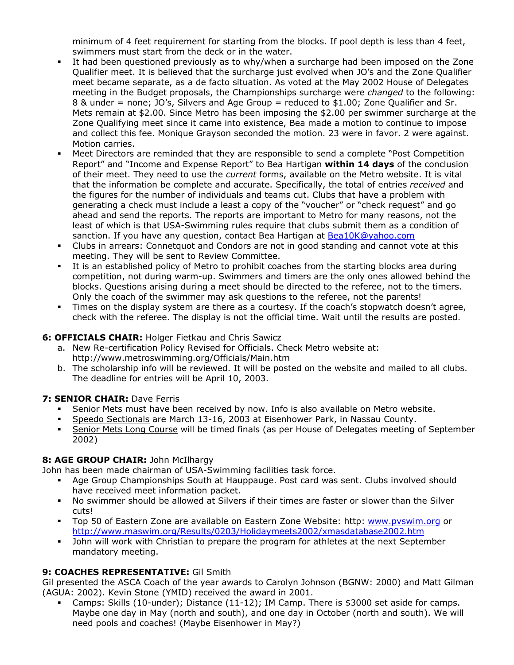minimum of 4 feet requirement for starting from the blocks. If pool depth is less than 4 feet, swimmers must start from the deck or in the water.

- It had been questioned previously as to why/when a surcharge had been imposed on the Zone Qualifier meet. It is believed that the surcharge just evolved when JO's and the Zone Qualifier meet became separate, as a de facto situation. As voted at the May 2002 House of Delegates meeting in the Budget proposals, the Championships surcharge were *changed* to the following: 8 & under = none; JO's, Silvers and Age Group = reduced to \$1.00; Zone Qualifier and Sr. Mets remain at \$2.00. Since Metro has been imposing the \$2.00 per swimmer surcharge at the Zone Qualifying meet since it came into existence, Bea made a motion to continue to impose and collect this fee. Monique Grayson seconded the motion. 23 were in favor. 2 were against. Motion carries.
- Meet Directors are reminded that they are responsible to send a complete "Post Competition Report" and "Income and Expense Report" to Bea Hartigan **within 14 days** of the conclusion of their meet. They need to use the *current* forms, available on the Metro website. It is vital that the information be complete and accurate. Specifically, the total of entries *received* and the figures for the number of individuals and teams cut. Clubs that have a problem with generating a check must include a least a copy of the "voucher" or "check request" and go ahead and send the reports. The reports are important to Metro for many reasons, not the least of which is that USA-Swimming rules require that clubs submit them as a condition of sanction. If you have any question, contact Bea Hartigan at **[Bea10K@yahoo.com](mailto:Bea10K@yahoo.com)**
- Clubs in arrears: Connetquot and Condors are not in good standing and cannot vote at this meeting. They will be sent to Review Committee.
- It is an established policy of Metro to prohibit coaches from the starting blocks area during competition, not during warm-up. Swimmers and timers are the only ones allowed behind the blocks. Questions arising during a meet should be directed to the referee, not to the timers. Only the coach of the swimmer may ask questions to the referee, not the parents!
- Times on the display system are there as a courtesy. If the coach's stopwatch doesn't agree, check with the referee. The display is not the official time. Wait until the results are posted.

#### **6: OFFICIALS CHAIR:** Holger Fietkau and Chris Sawicz

- a. New Re-certification Policy Revised for Officials. Check Metro website at: http://www.metroswimming.org/Officials/Main.htm
- b. The scholarship info will be reviewed. It will be posted on the website and mailed to all clubs. The deadline for entries will be April 10, 2003.

#### **7: SENIOR CHAIR: Dave Ferris**

- Senior Mets must have been received by now. Info is also available on Metro website.
- Speedo Sectionals are March 13-16, 2003 at Eisenhower Park, in Nassau County.
- Senior Mets Long Course will be timed finals (as per House of Delegates meeting of September 2002)

## **8: AGE GROUP CHAIR:** John McIlhargy

John has been made chairman of USA-Swimming facilities task force.

- Age Group Championships South at Hauppauge. Post card was sent. Clubs involved should have received meet information packet.
- No swimmer should be allowed at Silvers if their times are faster or slower than the Silver cuts!
- Top 50 of Eastern Zone are available on Eastern Zone Website: http: [www.pvswim.org](http://www.pvswim.org/) or <http://www.maswim.org/Results/0203/Holidaymeets2002/xmasdatabase2002.htm>
- John will work with Christian to prepare the program for athletes at the next September mandatory meeting.

#### **9: COACHES REPRESENTATIVE:** Gil Smith

Gil presented the ASCA Coach of the year awards to Carolyn Johnson (BGNW: 2000) and Matt Gilman (AGUA: 2002). Kevin Stone (YMID) received the award in 2001.

 Camps: Skills (10-under); Distance (11-12); IM Camp. There is \$3000 set aside for camps. Maybe one day in May (north and south), and one day in October (north and south). We will need pools and coaches! (Maybe Eisenhower in May?)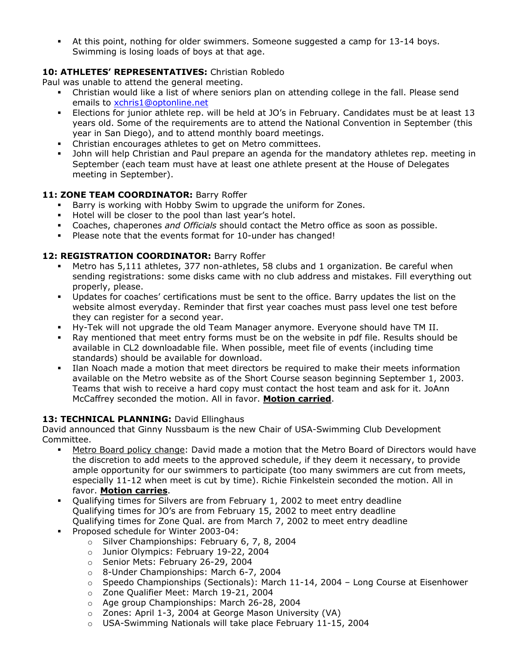At this point, nothing for older swimmers. Someone suggested a camp for 13-14 boys. Swimming is losing loads of boys at that age.

## **10: ATHLETES' REPRESENTATIVES:** Christian Robledo

Paul was unable to attend the general meeting.

- Christian would like a list of where seniors plan on attending college in the fall. Please send emails to [xchris1@optonline.net](mailto:xchris1@optonline.net)
- Elections for junior athlete rep. will be held at JO's in February. Candidates must be at least 13 years old. Some of the requirements are to attend the National Convention in September (this year in San Diego), and to attend monthly board meetings.
- Christian encourages athletes to get on Metro committees.
- John will help Christian and Paul prepare an agenda for the mandatory athletes rep. meeting in September (each team must have at least one athlete present at the House of Delegates meeting in September).

## 11: **ZONE TEAM COORDINATOR:** Barry Roffer

- Barry is working with Hobby Swim to upgrade the uniform for Zones.
- Hotel will be closer to the pool than last year's hotel.
- Coaches, chaperones *and Officials* should contact the Metro office as soon as possible.
- Please note that the events format for 10-under has changed!

## 12: REGISTRATION COORDINATOR: Barry Roffer

- Metro has 5,111 athletes, 377 non-athletes, 58 clubs and 1 organization. Be careful when sending registrations: some disks came with no club address and mistakes. Fill everything out properly, please.
- Updates for coaches' certifications must be sent to the office. Barry updates the list on the website almost everyday. Reminder that first year coaches must pass level one test before they can register for a second year.
- Hy-Tek will not upgrade the old Team Manager anymore. Everyone should have TM II.
- Ray mentioned that meet entry forms must be on the website in pdf file. Results should be available in CL2 downloadable file. When possible, meet file of events (including time standards) should be available for download.
- Ilan Noach made a motion that meet directors be required to make their meets information available on the Metro website as of the Short Course season beginning September 1, 2003. Teams that wish to receive a hard copy must contact the host team and ask for it. JoAnn McCaffrey seconded the motion. All in favor. **Motion carried**.

#### 13: TECHNICAL PLANNING: David Ellinghaus

David announced that Ginny Nussbaum is the new Chair of USA-Swimming Club Development Committee.

- Metro Board policy change: David made a motion that the Metro Board of Directors would have the discretion to add meets to the approved schedule, if they deem it necessary, to provide ample opportunity for our swimmers to participate (too many swimmers are cut from meets, especially 11-12 when meet is cut by time). Richie Finkelstein seconded the motion. All in favor. **Motion carries**.
- Qualifying times for Silvers are from February 1, 2002 to meet entry deadline Qualifying times for JO's are from February 15, 2002 to meet entry deadline Qualifying times for Zone Qual. are from March 7, 2002 to meet entry deadline
- **Proposed schedule for Winter 2003-04:** 
	- o Silver Championships: February 6, 7, 8, 2004
	- o Junior Olympics: February 19-22, 2004
	- o Senior Mets: February 26-29, 2004
	- o 8-Under Championships: March 6-7, 2004
	- $\circ$  Speedo Championships (Sectionals): March 11-14, 2004 Long Course at Eisenhower
	- o Zone Qualifier Meet: March 19-21, 2004
	- o Age group Championships: March 26-28, 2004
	- o Zones: April 1-3, 2004 at George Mason University (VA)
	- o USA-Swimming Nationals will take place February 11-15, 2004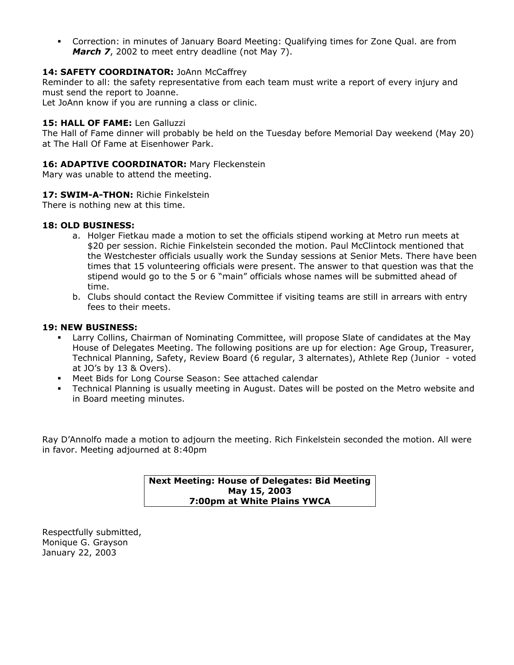Correction: in minutes of January Board Meeting: Qualifying times for Zone Qual. are from *March 7,* 2002 to meet entry deadline (not May 7).

#### 14: SAFETY COORDINATOR: JoAnn McCaffrey

Reminder to all: the safety representative from each team must write a report of every injury and must send the report to Joanne.

Let JoAnn know if you are running a class or clinic.

#### 15: HALL OF FAME: Len Galluzzi

The Hall of Fame dinner will probably be held on the Tuesday before Memorial Day weekend (May 20) at The Hall Of Fame at Eisenhower Park.

#### 16: **ADAPTIVE COORDINATOR:** Mary Fleckenstein

Mary was unable to attend the meeting.

#### **17: SWIM-A-THON:** Richie Finkelstein

There is nothing new at this time.

#### **18: OLD BUSINESS:**

- a. Holger Fietkau made a motion to set the officials stipend working at Metro run meets at \$20 per session. Richie Finkelstein seconded the motion. Paul McClintock mentioned that the Westchester officials usually work the Sunday sessions at Senior Mets. There have been times that 15 volunteering officials were present. The answer to that question was that the stipend would go to the 5 or 6 "main" officials whose names will be submitted ahead of time.
- b. Clubs should contact the Review Committee if visiting teams are still in arrears with entry fees to their meets.

#### **19: NEW BUSINESS:**

- Larry Collins, Chairman of Nominating Committee, will propose Slate of candidates at the May House of Delegates Meeting. The following positions are up for election: Age Group, Treasurer, Technical Planning, Safety, Review Board (6 regular, 3 alternates), Athlete Rep (Junior - voted at JO's by 13 & Overs).
- Meet Bids for Long Course Season: See attached calendar
- Technical Planning is usually meeting in August. Dates will be posted on the Metro website and in Board meeting minutes.

Ray D'Annolfo made a motion to adjourn the meeting. Rich Finkelstein seconded the motion. All were in favor. Meeting adjourned at 8:40pm

> **Next Meeting: House of Delegates: Bid Meeting May 15, 2003 7:00pm at White Plains YWCA**

Respectfully submitted, Monique G. Grayson January 22, 2003